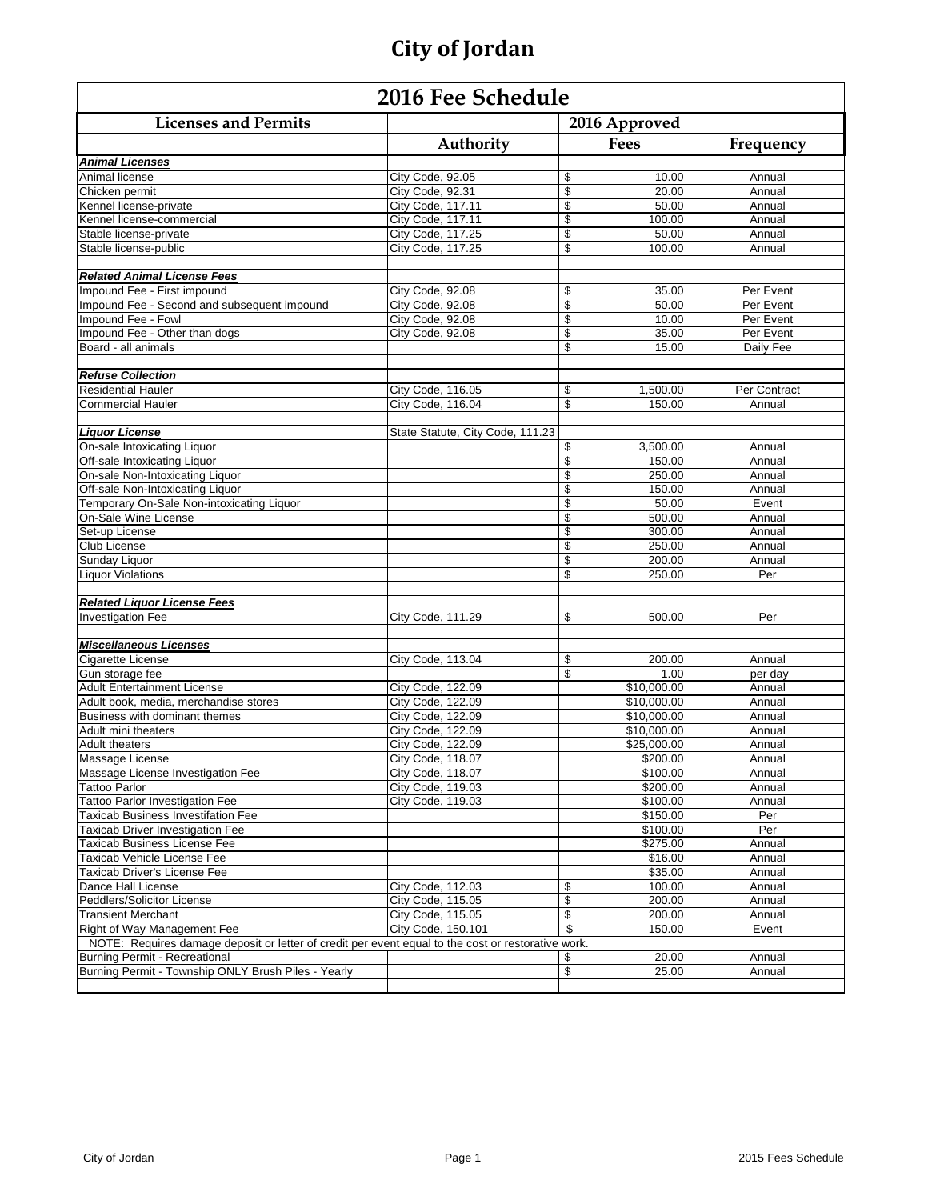| 2016 Fee Schedule                                                                                  |                                  |                          |                    |                  |
|----------------------------------------------------------------------------------------------------|----------------------------------|--------------------------|--------------------|------------------|
| <b>Licenses and Permits</b>                                                                        |                                  |                          | 2016 Approved      |                  |
|                                                                                                    | Authority                        |                          | Fees               | Frequency        |
| <b>Animal Licenses</b>                                                                             |                                  |                          |                    |                  |
| Animal license                                                                                     | City Code, 92.05                 | \$                       | 10.00              | Annual           |
| Chicken permit                                                                                     | City Code, 92.31                 | \$                       | 20.00              | Annual           |
| Kennel license-private                                                                             | City Code, 117.11                | $\overline{\mathcal{S}}$ | 50.00              | Annual           |
| Kennel license-commercial                                                                          | City Code, 117.11                | \$                       | 100.00             | Annual           |
| Stable license-private                                                                             | City Code, 117.25                | \$                       | 50.00              | Annual           |
| Stable license-public                                                                              | City Code, 117.25                | $\overline{\mathcal{S}}$ | 100.00             | Annual           |
| <b>Related Animal License Fees</b>                                                                 |                                  |                          |                    |                  |
| Impound Fee - First impound                                                                        | City Code, 92.08                 | \$                       | 35.00              | Per Event        |
| Impound Fee - Second and subsequent impound                                                        | City Code, 92.08                 | \$                       | 50.00              | Per Event        |
| Impound Fee - Fowl                                                                                 | City Code, 92.08                 | \$                       | 10.00              | Per Event        |
| Impound Fee - Other than dogs                                                                      | City Code, 92.08                 | \$                       | 35.00              | Per Event        |
| Board - all animals                                                                                |                                  | \$                       | 15.00              | Daily Fee        |
| <b>Refuse Collection</b>                                                                           |                                  |                          |                    |                  |
| <b>Residential Hauler</b>                                                                          | City Code, 116.05                | \$                       | 1,500.00           | Per Contract     |
| <b>Commercial Hauler</b>                                                                           | City Code, 116.04                | \$                       | 150.00             | Annual           |
|                                                                                                    |                                  |                          |                    |                  |
| <b>Liquor License</b>                                                                              | State Statute, City Code, 111.23 |                          |                    |                  |
| On-sale Intoxicating Liquor                                                                        |                                  | \$                       | 3,500.00           | Annual           |
| Off-sale Intoxicating Liquor                                                                       |                                  | \$                       | 150.00             | Annual           |
| On-sale Non-Intoxicating Liquor                                                                    |                                  | \$                       | 250.00             | Annual           |
| Off-sale Non-Intoxicating Liquor                                                                   |                                  | \$                       | 150.00             | Annual           |
| Temporary On-Sale Non-intoxicating Liquor                                                          |                                  | \$                       | 50.00              | Event            |
| On-Sale Wine License                                                                               |                                  | \$                       | 500.00             | Annual           |
| Set-up License                                                                                     |                                  | \$                       | 300.00             | Annual           |
| Club License                                                                                       |                                  | \$                       | 250.00             | Annual           |
| Sunday Liquor                                                                                      |                                  | \$                       | 200.00             | Annual           |
| <b>Liquor Violations</b>                                                                           |                                  | \$                       | 250.00             | Per              |
| <b>Related Liquor License Fees</b>                                                                 |                                  |                          |                    |                  |
| <b>Investigation Fee</b>                                                                           | City Code, 111.29                | \$                       | 500.00             | Per              |
|                                                                                                    |                                  |                          |                    |                  |
| <b>Miscellaneous Licenses</b>                                                                      |                                  |                          |                    |                  |
| <b>Cigarette License</b>                                                                           | City Code, 113.04                | \$                       | 200.00             | Annual           |
| Gun storage fee                                                                                    |                                  | \$                       | 1.00               | per day          |
| <b>Adult Entertainment License</b>                                                                 | City Code, 122.09                |                          | \$10,000.00        | Annual           |
| Adult book, media, merchandise stores                                                              | City Code, 122.09                |                          | \$10,000.00        | Annual           |
| Business with dominant themes                                                                      | City Code, 122.09                |                          | \$10,000.00        | Annual           |
| Adult mini theaters                                                                                | City Code, 122.09                |                          | \$10.000.00        | Annual           |
| <b>Adult theaters</b>                                                                              | City Code, 122.09                |                          | \$25,000.00        | Annual           |
| Massage License                                                                                    | City Code, 118.07                |                          | \$200.00           | Annual           |
| Massage License Investigation Fee                                                                  | City Code, 118.07                |                          | \$100.00           | Annual           |
| <b>Tattoo Parlor</b>                                                                               | City Code, 119.03                |                          | \$200.00           | Annual           |
| <b>Tattoo Parlor Investigation Fee</b>                                                             | City Code, 119.03                |                          | \$100.00           | Annual           |
| Taxicab Business Investifation Fee                                                                 |                                  |                          | \$150.00           | Per              |
| Taxicab Driver Investigation Fee                                                                   |                                  |                          | \$100.00           | Per              |
| Taxicab Business License Fee                                                                       |                                  |                          | \$275.00           | Annual           |
| Taxicab Vehicle License Fee<br>Taxicab Driver's License Fee                                        |                                  |                          | \$16.00<br>\$35.00 | Annual<br>Annual |
| Dance Hall License                                                                                 | City Code, 112.03                | \$                       | 100.00             | Annual           |
| Peddlers/Solicitor License                                                                         | City Code, 115.05                | $\sqrt[6]{3}$            | 200.00             | Annual           |
| <b>Transient Merchant</b>                                                                          | City Code, 115.05                | \$                       | 200.00             | Annual           |
| Right of Way Management Fee                                                                        | City Code, 150.101               | \$                       | 150.00             | Event            |
| NOTE: Requires damage deposit or letter of credit per event equal to the cost or restorative work. |                                  |                          |                    |                  |
| Burning Permit - Recreational                                                                      |                                  | \$                       | 20.00              | Annual           |
| Burning Permit - Township ONLY Brush Piles - Yearly                                                |                                  | \$                       | 25.00              | Annual           |
|                                                                                                    |                                  |                          |                    |                  |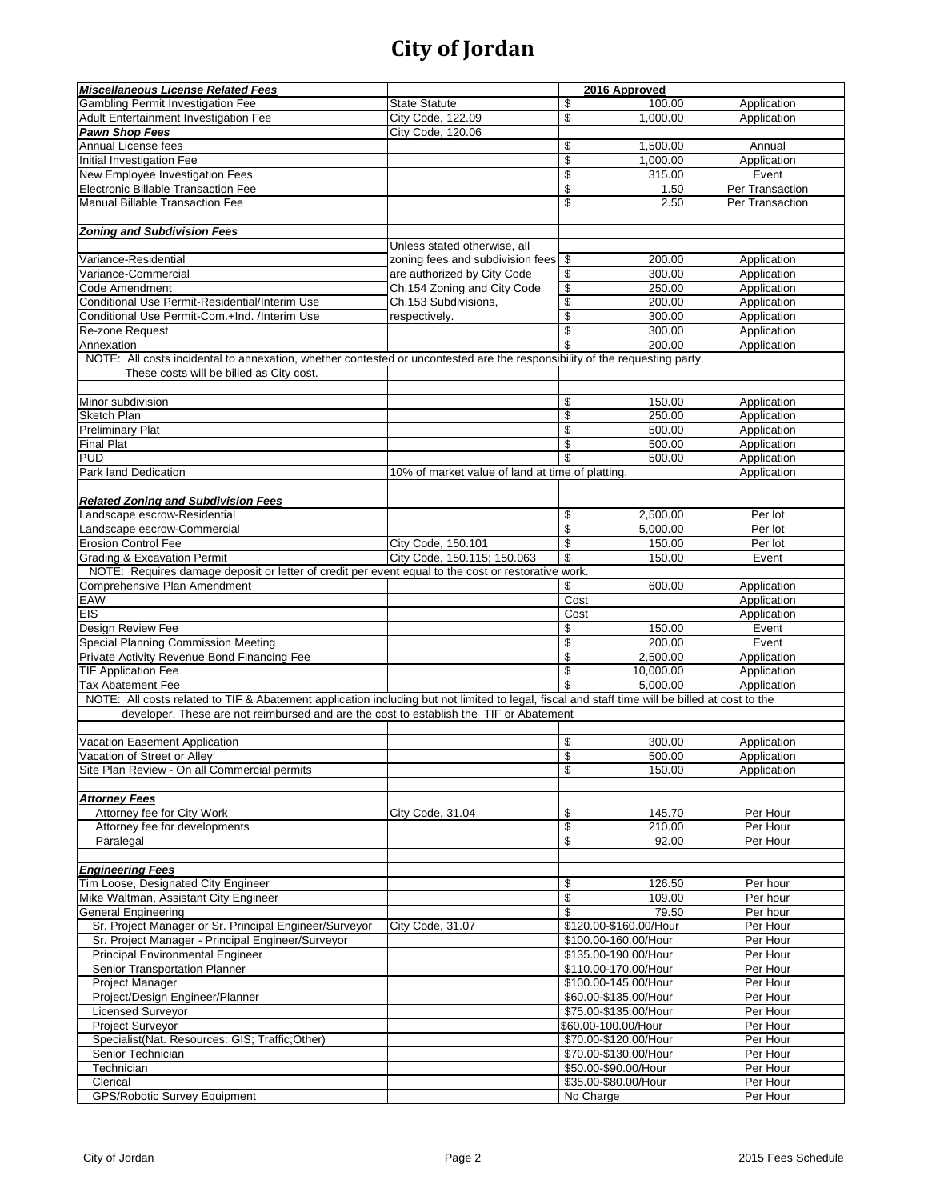| <b>State Statute</b><br>\$<br>100.00<br>Application<br>Adult Entertainment Investigation Fee<br>City Code, 122.09<br>\$<br>1,000.00<br>Application<br><b>Pawn Shop Fees</b><br>City Code, 120.06<br>Annual License fees<br>\$<br>1,500.00<br>Annual<br>\$<br>1,000.00<br>Initial Investigation Fee<br>Application<br>\$<br>New Employee Investigation Fees<br>315.00<br>Event<br>\$<br>1.50<br>Per Transaction<br>\$<br>Manual Billable Transaction Fee<br>2.50<br>Per Transaction<br>Unless stated otherwise, all<br>Variance-Residential<br>zoning fees and subdivision fees \$<br>200.00<br>Application<br>Variance-Commercial<br>are authorized by City Code<br>\$<br>Application<br>300.00<br>Code Amendment<br>Ch.154 Zoning and City Code<br>\$<br>Application<br>250.00<br>\$<br>Conditional Use Permit-Residential/Interim Use<br>Ch.153 Subdivisions,<br>200.00<br>Application<br>\$<br>Conditional Use Permit-Com.+Ind. /Interim Use<br>300.00<br>Application<br>respectively.<br>\$<br>300.00<br>Application<br>Re-zone Request<br>\$<br>200.00<br>Application<br>Annexation<br>NOTE: All costs incidental to annexation, whether contested or uncontested are the responsibility of the requesting party.<br>These costs will be billed as City cost.<br>Minor subdivision<br>Application<br>\$<br>150.00<br>\$<br>Sketch Plan<br>250.00<br>Application<br>\$<br><b>Preliminary Plat</b><br>500.00<br>Application<br>\$<br><b>Final Plat</b><br>500.00<br>Application<br><b>PUD</b><br>\$<br>500.00<br>Application<br>Park land Dedication<br>10% of market value of land at time of platting.<br>Application<br><b>Related Zoning and Subdivision Fees</b><br>Landscape escrow-Residential<br>\$<br>2,500.00<br>Per lot<br>\$<br>Landscape escrow-Commercial<br>5,000.00<br>Per lot<br>\$<br><b>Erosion Control Fee</b><br>City Code, 150.101<br>150.00<br>Per lot<br>\$<br><b>Grading &amp; Excavation Permit</b><br>City Code, 150.115; 150.063<br>150.00<br>Event<br>NOTE: Requires damage deposit or letter of credit per event equal to the cost or restorative work.<br>\$<br>Comprehensive Plan Amendment<br>600.00<br>Application<br>Cost<br>Application<br>EIS<br>Application<br>Cost<br>\$<br>Design Review Fee<br>150.00<br>Event<br>\$<br>200.00<br>Special Planning Commission Meeting<br>Event<br>\$<br>Private Activity Revenue Bond Financing Fee<br>2,500.00<br>Application<br>\$<br><b>TIF Application Fee</b><br>10,000.00<br>Application<br>\$<br>5,000.00<br><b>Tax Abatement Fee</b><br>Application<br>NOTE: All costs related to TIF & Abatement application including but not limited to legal, fiscal and staff time will be billed at cost to the<br>developer. These are not reimbursed and are the cost to establish the TIF or Abatement<br>\$<br>Vacation Easement Application<br>300.00<br>Application<br>S<br>Vacation of Street or Allev<br>500.00<br>Application<br>Site Plan Review - On all Commercial permits<br>\$<br>Application<br>150.00<br><b>Attorney Fees</b><br>Attorney fee for City Work<br>City Code, 31.04<br>\$<br>145.70<br>Per Hour<br>\$<br>Attorney fee for developments<br>210.00<br>Per Hour<br>\$<br>Per Hour<br>92.00<br>Paralegal<br><b>Engineering Fees</b><br>Tim Loose, Designated City Engineer<br>126.50<br>\$<br>Per hour<br>\$<br>Mike Waltman, Assistant City Engineer<br>109.00<br>Per hour<br>\$<br><b>General Engineering</b><br>79.50<br>Per hour<br>Sr. Project Manager or Sr. Principal Engineer/Surveyor<br>Per Hour<br>City Code, 31.07<br>\$120.00-\$160.00/Hour<br>Sr. Project Manager - Principal Engineer/Surveyor<br>\$100.00-160.00/Hour<br>Per Hour<br><b>Principal Environmental Engineer</b><br>\$135.00-190.00/Hour<br>Per Hour<br>Senior Transportation Planner<br>\$110.00-170.00/Hour<br>Per Hour<br>Project Manager<br>\$100.00-145.00/Hour<br>Per Hour<br>Project/Design Engineer/Planner<br>\$60.00-\$135.00/Hour<br>Per Hour<br>Licensed Surveyor<br>\$75.00-\$135.00/Hour<br>Per Hour<br>Project Surveyor<br>\$60.00-100.00/Hour<br>Per Hour<br>Specialist(Nat. Resources: GIS; Traffic;Other)<br>\$70.00-\$120.00/Hour<br>Per Hour<br>Senior Technician<br>\$70.00-\$130.00/Hour<br>Per Hour<br>Technician<br>\$50.00-\$90.00/Hour<br>Per Hour<br>Clerical<br>\$35.00-\$80.00/Hour<br>Per Hour<br>GPS/Robotic Survey Equipment<br>No Charge<br>Per Hour | <b>Miscellaneous License Related Fees</b> |  | 2016 Approved |  |  |  |
|---------------------------------------------------------------------------------------------------------------------------------------------------------------------------------------------------------------------------------------------------------------------------------------------------------------------------------------------------------------------------------------------------------------------------------------------------------------------------------------------------------------------------------------------------------------------------------------------------------------------------------------------------------------------------------------------------------------------------------------------------------------------------------------------------------------------------------------------------------------------------------------------------------------------------------------------------------------------------------------------------------------------------------------------------------------------------------------------------------------------------------------------------------------------------------------------------------------------------------------------------------------------------------------------------------------------------------------------------------------------------------------------------------------------------------------------------------------------------------------------------------------------------------------------------------------------------------------------------------------------------------------------------------------------------------------------------------------------------------------------------------------------------------------------------------------------------------------------------------------------------------------------------------------------------------------------------------------------------------------------------------------------------------------------------------------------------------------------------------------------------------------------------------------------------------------------------------------------------------------------------------------------------------------------------------------------------------------------------------------------------------------------------------------------------------------------------------------------------------------------------------------------------------------------------------------------------------------------------------------------------------------------------------------------------------------------------------------------------------------------------------------------------------------------------------------------------------------------------------------------------------------------------------------------------------------------------------------------------------------------------------------------------------------------------------------------------------------------------------------------------------------------------------------------------------------------------------------------------------------------------------------------------------------------------------------------------------------------------------------------------------------------------------------------------------------------------------------------------------------------------------------------------------------------------------------------------------------------------------------------------------------------------------------------------------------------------------------------------------------------------------------------------------------------------------------------------------------------------------------------------------------------------------------------------------------------------------------------------------------------------------------------------------------------------------------------------------------------------------------------------------------------------------------------------------------------------------------------------------------------------------------------------------------------------------------------------------------------------------------------|-------------------------------------------|--|---------------|--|--|--|
|                                                                                                                                                                                                                                                                                                                                                                                                                                                                                                                                                                                                                                                                                                                                                                                                                                                                                                                                                                                                                                                                                                                                                                                                                                                                                                                                                                                                                                                                                                                                                                                                                                                                                                                                                                                                                                                                                                                                                                                                                                                                                                                                                                                                                                                                                                                                                                                                                                                                                                                                                                                                                                                                                                                                                                                                                                                                                                                                                                                                                                                                                                                                                                                                                                                                                                                                                                                                                                                                                                                                                                                                                                                                                                                                                                                                                                                                                                                                                                                                                                                                                                                                                                                                                                                                                                                                                                     | Gambling Permit Investigation Fee         |  |               |  |  |  |
|                                                                                                                                                                                                                                                                                                                                                                                                                                                                                                                                                                                                                                                                                                                                                                                                                                                                                                                                                                                                                                                                                                                                                                                                                                                                                                                                                                                                                                                                                                                                                                                                                                                                                                                                                                                                                                                                                                                                                                                                                                                                                                                                                                                                                                                                                                                                                                                                                                                                                                                                                                                                                                                                                                                                                                                                                                                                                                                                                                                                                                                                                                                                                                                                                                                                                                                                                                                                                                                                                                                                                                                                                                                                                                                                                                                                                                                                                                                                                                                                                                                                                                                                                                                                                                                                                                                                                                     |                                           |  |               |  |  |  |
|                                                                                                                                                                                                                                                                                                                                                                                                                                                                                                                                                                                                                                                                                                                                                                                                                                                                                                                                                                                                                                                                                                                                                                                                                                                                                                                                                                                                                                                                                                                                                                                                                                                                                                                                                                                                                                                                                                                                                                                                                                                                                                                                                                                                                                                                                                                                                                                                                                                                                                                                                                                                                                                                                                                                                                                                                                                                                                                                                                                                                                                                                                                                                                                                                                                                                                                                                                                                                                                                                                                                                                                                                                                                                                                                                                                                                                                                                                                                                                                                                                                                                                                                                                                                                                                                                                                                                                     |                                           |  |               |  |  |  |
|                                                                                                                                                                                                                                                                                                                                                                                                                                                                                                                                                                                                                                                                                                                                                                                                                                                                                                                                                                                                                                                                                                                                                                                                                                                                                                                                                                                                                                                                                                                                                                                                                                                                                                                                                                                                                                                                                                                                                                                                                                                                                                                                                                                                                                                                                                                                                                                                                                                                                                                                                                                                                                                                                                                                                                                                                                                                                                                                                                                                                                                                                                                                                                                                                                                                                                                                                                                                                                                                                                                                                                                                                                                                                                                                                                                                                                                                                                                                                                                                                                                                                                                                                                                                                                                                                                                                                                     |                                           |  |               |  |  |  |
|                                                                                                                                                                                                                                                                                                                                                                                                                                                                                                                                                                                                                                                                                                                                                                                                                                                                                                                                                                                                                                                                                                                                                                                                                                                                                                                                                                                                                                                                                                                                                                                                                                                                                                                                                                                                                                                                                                                                                                                                                                                                                                                                                                                                                                                                                                                                                                                                                                                                                                                                                                                                                                                                                                                                                                                                                                                                                                                                                                                                                                                                                                                                                                                                                                                                                                                                                                                                                                                                                                                                                                                                                                                                                                                                                                                                                                                                                                                                                                                                                                                                                                                                                                                                                                                                                                                                                                     |                                           |  |               |  |  |  |
|                                                                                                                                                                                                                                                                                                                                                                                                                                                                                                                                                                                                                                                                                                                                                                                                                                                                                                                                                                                                                                                                                                                                                                                                                                                                                                                                                                                                                                                                                                                                                                                                                                                                                                                                                                                                                                                                                                                                                                                                                                                                                                                                                                                                                                                                                                                                                                                                                                                                                                                                                                                                                                                                                                                                                                                                                                                                                                                                                                                                                                                                                                                                                                                                                                                                                                                                                                                                                                                                                                                                                                                                                                                                                                                                                                                                                                                                                                                                                                                                                                                                                                                                                                                                                                                                                                                                                                     |                                           |  |               |  |  |  |
|                                                                                                                                                                                                                                                                                                                                                                                                                                                                                                                                                                                                                                                                                                                                                                                                                                                                                                                                                                                                                                                                                                                                                                                                                                                                                                                                                                                                                                                                                                                                                                                                                                                                                                                                                                                                                                                                                                                                                                                                                                                                                                                                                                                                                                                                                                                                                                                                                                                                                                                                                                                                                                                                                                                                                                                                                                                                                                                                                                                                                                                                                                                                                                                                                                                                                                                                                                                                                                                                                                                                                                                                                                                                                                                                                                                                                                                                                                                                                                                                                                                                                                                                                                                                                                                                                                                                                                     | Electronic Billable Transaction Fee       |  |               |  |  |  |
|                                                                                                                                                                                                                                                                                                                                                                                                                                                                                                                                                                                                                                                                                                                                                                                                                                                                                                                                                                                                                                                                                                                                                                                                                                                                                                                                                                                                                                                                                                                                                                                                                                                                                                                                                                                                                                                                                                                                                                                                                                                                                                                                                                                                                                                                                                                                                                                                                                                                                                                                                                                                                                                                                                                                                                                                                                                                                                                                                                                                                                                                                                                                                                                                                                                                                                                                                                                                                                                                                                                                                                                                                                                                                                                                                                                                                                                                                                                                                                                                                                                                                                                                                                                                                                                                                                                                                                     |                                           |  |               |  |  |  |
|                                                                                                                                                                                                                                                                                                                                                                                                                                                                                                                                                                                                                                                                                                                                                                                                                                                                                                                                                                                                                                                                                                                                                                                                                                                                                                                                                                                                                                                                                                                                                                                                                                                                                                                                                                                                                                                                                                                                                                                                                                                                                                                                                                                                                                                                                                                                                                                                                                                                                                                                                                                                                                                                                                                                                                                                                                                                                                                                                                                                                                                                                                                                                                                                                                                                                                                                                                                                                                                                                                                                                                                                                                                                                                                                                                                                                                                                                                                                                                                                                                                                                                                                                                                                                                                                                                                                                                     |                                           |  |               |  |  |  |
|                                                                                                                                                                                                                                                                                                                                                                                                                                                                                                                                                                                                                                                                                                                                                                                                                                                                                                                                                                                                                                                                                                                                                                                                                                                                                                                                                                                                                                                                                                                                                                                                                                                                                                                                                                                                                                                                                                                                                                                                                                                                                                                                                                                                                                                                                                                                                                                                                                                                                                                                                                                                                                                                                                                                                                                                                                                                                                                                                                                                                                                                                                                                                                                                                                                                                                                                                                                                                                                                                                                                                                                                                                                                                                                                                                                                                                                                                                                                                                                                                                                                                                                                                                                                                                                                                                                                                                     | <b>Zoning and Subdivision Fees</b>        |  |               |  |  |  |
|                                                                                                                                                                                                                                                                                                                                                                                                                                                                                                                                                                                                                                                                                                                                                                                                                                                                                                                                                                                                                                                                                                                                                                                                                                                                                                                                                                                                                                                                                                                                                                                                                                                                                                                                                                                                                                                                                                                                                                                                                                                                                                                                                                                                                                                                                                                                                                                                                                                                                                                                                                                                                                                                                                                                                                                                                                                                                                                                                                                                                                                                                                                                                                                                                                                                                                                                                                                                                                                                                                                                                                                                                                                                                                                                                                                                                                                                                                                                                                                                                                                                                                                                                                                                                                                                                                                                                                     |                                           |  |               |  |  |  |
|                                                                                                                                                                                                                                                                                                                                                                                                                                                                                                                                                                                                                                                                                                                                                                                                                                                                                                                                                                                                                                                                                                                                                                                                                                                                                                                                                                                                                                                                                                                                                                                                                                                                                                                                                                                                                                                                                                                                                                                                                                                                                                                                                                                                                                                                                                                                                                                                                                                                                                                                                                                                                                                                                                                                                                                                                                                                                                                                                                                                                                                                                                                                                                                                                                                                                                                                                                                                                                                                                                                                                                                                                                                                                                                                                                                                                                                                                                                                                                                                                                                                                                                                                                                                                                                                                                                                                                     |                                           |  |               |  |  |  |
|                                                                                                                                                                                                                                                                                                                                                                                                                                                                                                                                                                                                                                                                                                                                                                                                                                                                                                                                                                                                                                                                                                                                                                                                                                                                                                                                                                                                                                                                                                                                                                                                                                                                                                                                                                                                                                                                                                                                                                                                                                                                                                                                                                                                                                                                                                                                                                                                                                                                                                                                                                                                                                                                                                                                                                                                                                                                                                                                                                                                                                                                                                                                                                                                                                                                                                                                                                                                                                                                                                                                                                                                                                                                                                                                                                                                                                                                                                                                                                                                                                                                                                                                                                                                                                                                                                                                                                     |                                           |  |               |  |  |  |
|                                                                                                                                                                                                                                                                                                                                                                                                                                                                                                                                                                                                                                                                                                                                                                                                                                                                                                                                                                                                                                                                                                                                                                                                                                                                                                                                                                                                                                                                                                                                                                                                                                                                                                                                                                                                                                                                                                                                                                                                                                                                                                                                                                                                                                                                                                                                                                                                                                                                                                                                                                                                                                                                                                                                                                                                                                                                                                                                                                                                                                                                                                                                                                                                                                                                                                                                                                                                                                                                                                                                                                                                                                                                                                                                                                                                                                                                                                                                                                                                                                                                                                                                                                                                                                                                                                                                                                     |                                           |  |               |  |  |  |
|                                                                                                                                                                                                                                                                                                                                                                                                                                                                                                                                                                                                                                                                                                                                                                                                                                                                                                                                                                                                                                                                                                                                                                                                                                                                                                                                                                                                                                                                                                                                                                                                                                                                                                                                                                                                                                                                                                                                                                                                                                                                                                                                                                                                                                                                                                                                                                                                                                                                                                                                                                                                                                                                                                                                                                                                                                                                                                                                                                                                                                                                                                                                                                                                                                                                                                                                                                                                                                                                                                                                                                                                                                                                                                                                                                                                                                                                                                                                                                                                                                                                                                                                                                                                                                                                                                                                                                     |                                           |  |               |  |  |  |
|                                                                                                                                                                                                                                                                                                                                                                                                                                                                                                                                                                                                                                                                                                                                                                                                                                                                                                                                                                                                                                                                                                                                                                                                                                                                                                                                                                                                                                                                                                                                                                                                                                                                                                                                                                                                                                                                                                                                                                                                                                                                                                                                                                                                                                                                                                                                                                                                                                                                                                                                                                                                                                                                                                                                                                                                                                                                                                                                                                                                                                                                                                                                                                                                                                                                                                                                                                                                                                                                                                                                                                                                                                                                                                                                                                                                                                                                                                                                                                                                                                                                                                                                                                                                                                                                                                                                                                     |                                           |  |               |  |  |  |
|                                                                                                                                                                                                                                                                                                                                                                                                                                                                                                                                                                                                                                                                                                                                                                                                                                                                                                                                                                                                                                                                                                                                                                                                                                                                                                                                                                                                                                                                                                                                                                                                                                                                                                                                                                                                                                                                                                                                                                                                                                                                                                                                                                                                                                                                                                                                                                                                                                                                                                                                                                                                                                                                                                                                                                                                                                                                                                                                                                                                                                                                                                                                                                                                                                                                                                                                                                                                                                                                                                                                                                                                                                                                                                                                                                                                                                                                                                                                                                                                                                                                                                                                                                                                                                                                                                                                                                     |                                           |  |               |  |  |  |
|                                                                                                                                                                                                                                                                                                                                                                                                                                                                                                                                                                                                                                                                                                                                                                                                                                                                                                                                                                                                                                                                                                                                                                                                                                                                                                                                                                                                                                                                                                                                                                                                                                                                                                                                                                                                                                                                                                                                                                                                                                                                                                                                                                                                                                                                                                                                                                                                                                                                                                                                                                                                                                                                                                                                                                                                                                                                                                                                                                                                                                                                                                                                                                                                                                                                                                                                                                                                                                                                                                                                                                                                                                                                                                                                                                                                                                                                                                                                                                                                                                                                                                                                                                                                                                                                                                                                                                     |                                           |  |               |  |  |  |
|                                                                                                                                                                                                                                                                                                                                                                                                                                                                                                                                                                                                                                                                                                                                                                                                                                                                                                                                                                                                                                                                                                                                                                                                                                                                                                                                                                                                                                                                                                                                                                                                                                                                                                                                                                                                                                                                                                                                                                                                                                                                                                                                                                                                                                                                                                                                                                                                                                                                                                                                                                                                                                                                                                                                                                                                                                                                                                                                                                                                                                                                                                                                                                                                                                                                                                                                                                                                                                                                                                                                                                                                                                                                                                                                                                                                                                                                                                                                                                                                                                                                                                                                                                                                                                                                                                                                                                     |                                           |  |               |  |  |  |
|                                                                                                                                                                                                                                                                                                                                                                                                                                                                                                                                                                                                                                                                                                                                                                                                                                                                                                                                                                                                                                                                                                                                                                                                                                                                                                                                                                                                                                                                                                                                                                                                                                                                                                                                                                                                                                                                                                                                                                                                                                                                                                                                                                                                                                                                                                                                                                                                                                                                                                                                                                                                                                                                                                                                                                                                                                                                                                                                                                                                                                                                                                                                                                                                                                                                                                                                                                                                                                                                                                                                                                                                                                                                                                                                                                                                                                                                                                                                                                                                                                                                                                                                                                                                                                                                                                                                                                     |                                           |  |               |  |  |  |
|                                                                                                                                                                                                                                                                                                                                                                                                                                                                                                                                                                                                                                                                                                                                                                                                                                                                                                                                                                                                                                                                                                                                                                                                                                                                                                                                                                                                                                                                                                                                                                                                                                                                                                                                                                                                                                                                                                                                                                                                                                                                                                                                                                                                                                                                                                                                                                                                                                                                                                                                                                                                                                                                                                                                                                                                                                                                                                                                                                                                                                                                                                                                                                                                                                                                                                                                                                                                                                                                                                                                                                                                                                                                                                                                                                                                                                                                                                                                                                                                                                                                                                                                                                                                                                                                                                                                                                     |                                           |  |               |  |  |  |
|                                                                                                                                                                                                                                                                                                                                                                                                                                                                                                                                                                                                                                                                                                                                                                                                                                                                                                                                                                                                                                                                                                                                                                                                                                                                                                                                                                                                                                                                                                                                                                                                                                                                                                                                                                                                                                                                                                                                                                                                                                                                                                                                                                                                                                                                                                                                                                                                                                                                                                                                                                                                                                                                                                                                                                                                                                                                                                                                                                                                                                                                                                                                                                                                                                                                                                                                                                                                                                                                                                                                                                                                                                                                                                                                                                                                                                                                                                                                                                                                                                                                                                                                                                                                                                                                                                                                                                     |                                           |  |               |  |  |  |
|                                                                                                                                                                                                                                                                                                                                                                                                                                                                                                                                                                                                                                                                                                                                                                                                                                                                                                                                                                                                                                                                                                                                                                                                                                                                                                                                                                                                                                                                                                                                                                                                                                                                                                                                                                                                                                                                                                                                                                                                                                                                                                                                                                                                                                                                                                                                                                                                                                                                                                                                                                                                                                                                                                                                                                                                                                                                                                                                                                                                                                                                                                                                                                                                                                                                                                                                                                                                                                                                                                                                                                                                                                                                                                                                                                                                                                                                                                                                                                                                                                                                                                                                                                                                                                                                                                                                                                     |                                           |  |               |  |  |  |
|                                                                                                                                                                                                                                                                                                                                                                                                                                                                                                                                                                                                                                                                                                                                                                                                                                                                                                                                                                                                                                                                                                                                                                                                                                                                                                                                                                                                                                                                                                                                                                                                                                                                                                                                                                                                                                                                                                                                                                                                                                                                                                                                                                                                                                                                                                                                                                                                                                                                                                                                                                                                                                                                                                                                                                                                                                                                                                                                                                                                                                                                                                                                                                                                                                                                                                                                                                                                                                                                                                                                                                                                                                                                                                                                                                                                                                                                                                                                                                                                                                                                                                                                                                                                                                                                                                                                                                     |                                           |  |               |  |  |  |
|                                                                                                                                                                                                                                                                                                                                                                                                                                                                                                                                                                                                                                                                                                                                                                                                                                                                                                                                                                                                                                                                                                                                                                                                                                                                                                                                                                                                                                                                                                                                                                                                                                                                                                                                                                                                                                                                                                                                                                                                                                                                                                                                                                                                                                                                                                                                                                                                                                                                                                                                                                                                                                                                                                                                                                                                                                                                                                                                                                                                                                                                                                                                                                                                                                                                                                                                                                                                                                                                                                                                                                                                                                                                                                                                                                                                                                                                                                                                                                                                                                                                                                                                                                                                                                                                                                                                                                     |                                           |  |               |  |  |  |
|                                                                                                                                                                                                                                                                                                                                                                                                                                                                                                                                                                                                                                                                                                                                                                                                                                                                                                                                                                                                                                                                                                                                                                                                                                                                                                                                                                                                                                                                                                                                                                                                                                                                                                                                                                                                                                                                                                                                                                                                                                                                                                                                                                                                                                                                                                                                                                                                                                                                                                                                                                                                                                                                                                                                                                                                                                                                                                                                                                                                                                                                                                                                                                                                                                                                                                                                                                                                                                                                                                                                                                                                                                                                                                                                                                                                                                                                                                                                                                                                                                                                                                                                                                                                                                                                                                                                                                     |                                           |  |               |  |  |  |
|                                                                                                                                                                                                                                                                                                                                                                                                                                                                                                                                                                                                                                                                                                                                                                                                                                                                                                                                                                                                                                                                                                                                                                                                                                                                                                                                                                                                                                                                                                                                                                                                                                                                                                                                                                                                                                                                                                                                                                                                                                                                                                                                                                                                                                                                                                                                                                                                                                                                                                                                                                                                                                                                                                                                                                                                                                                                                                                                                                                                                                                                                                                                                                                                                                                                                                                                                                                                                                                                                                                                                                                                                                                                                                                                                                                                                                                                                                                                                                                                                                                                                                                                                                                                                                                                                                                                                                     |                                           |  |               |  |  |  |
|                                                                                                                                                                                                                                                                                                                                                                                                                                                                                                                                                                                                                                                                                                                                                                                                                                                                                                                                                                                                                                                                                                                                                                                                                                                                                                                                                                                                                                                                                                                                                                                                                                                                                                                                                                                                                                                                                                                                                                                                                                                                                                                                                                                                                                                                                                                                                                                                                                                                                                                                                                                                                                                                                                                                                                                                                                                                                                                                                                                                                                                                                                                                                                                                                                                                                                                                                                                                                                                                                                                                                                                                                                                                                                                                                                                                                                                                                                                                                                                                                                                                                                                                                                                                                                                                                                                                                                     |                                           |  |               |  |  |  |
|                                                                                                                                                                                                                                                                                                                                                                                                                                                                                                                                                                                                                                                                                                                                                                                                                                                                                                                                                                                                                                                                                                                                                                                                                                                                                                                                                                                                                                                                                                                                                                                                                                                                                                                                                                                                                                                                                                                                                                                                                                                                                                                                                                                                                                                                                                                                                                                                                                                                                                                                                                                                                                                                                                                                                                                                                                                                                                                                                                                                                                                                                                                                                                                                                                                                                                                                                                                                                                                                                                                                                                                                                                                                                                                                                                                                                                                                                                                                                                                                                                                                                                                                                                                                                                                                                                                                                                     |                                           |  |               |  |  |  |
|                                                                                                                                                                                                                                                                                                                                                                                                                                                                                                                                                                                                                                                                                                                                                                                                                                                                                                                                                                                                                                                                                                                                                                                                                                                                                                                                                                                                                                                                                                                                                                                                                                                                                                                                                                                                                                                                                                                                                                                                                                                                                                                                                                                                                                                                                                                                                                                                                                                                                                                                                                                                                                                                                                                                                                                                                                                                                                                                                                                                                                                                                                                                                                                                                                                                                                                                                                                                                                                                                                                                                                                                                                                                                                                                                                                                                                                                                                                                                                                                                                                                                                                                                                                                                                                                                                                                                                     |                                           |  |               |  |  |  |
|                                                                                                                                                                                                                                                                                                                                                                                                                                                                                                                                                                                                                                                                                                                                                                                                                                                                                                                                                                                                                                                                                                                                                                                                                                                                                                                                                                                                                                                                                                                                                                                                                                                                                                                                                                                                                                                                                                                                                                                                                                                                                                                                                                                                                                                                                                                                                                                                                                                                                                                                                                                                                                                                                                                                                                                                                                                                                                                                                                                                                                                                                                                                                                                                                                                                                                                                                                                                                                                                                                                                                                                                                                                                                                                                                                                                                                                                                                                                                                                                                                                                                                                                                                                                                                                                                                                                                                     |                                           |  |               |  |  |  |
|                                                                                                                                                                                                                                                                                                                                                                                                                                                                                                                                                                                                                                                                                                                                                                                                                                                                                                                                                                                                                                                                                                                                                                                                                                                                                                                                                                                                                                                                                                                                                                                                                                                                                                                                                                                                                                                                                                                                                                                                                                                                                                                                                                                                                                                                                                                                                                                                                                                                                                                                                                                                                                                                                                                                                                                                                                                                                                                                                                                                                                                                                                                                                                                                                                                                                                                                                                                                                                                                                                                                                                                                                                                                                                                                                                                                                                                                                                                                                                                                                                                                                                                                                                                                                                                                                                                                                                     |                                           |  |               |  |  |  |
|                                                                                                                                                                                                                                                                                                                                                                                                                                                                                                                                                                                                                                                                                                                                                                                                                                                                                                                                                                                                                                                                                                                                                                                                                                                                                                                                                                                                                                                                                                                                                                                                                                                                                                                                                                                                                                                                                                                                                                                                                                                                                                                                                                                                                                                                                                                                                                                                                                                                                                                                                                                                                                                                                                                                                                                                                                                                                                                                                                                                                                                                                                                                                                                                                                                                                                                                                                                                                                                                                                                                                                                                                                                                                                                                                                                                                                                                                                                                                                                                                                                                                                                                                                                                                                                                                                                                                                     |                                           |  |               |  |  |  |
|                                                                                                                                                                                                                                                                                                                                                                                                                                                                                                                                                                                                                                                                                                                                                                                                                                                                                                                                                                                                                                                                                                                                                                                                                                                                                                                                                                                                                                                                                                                                                                                                                                                                                                                                                                                                                                                                                                                                                                                                                                                                                                                                                                                                                                                                                                                                                                                                                                                                                                                                                                                                                                                                                                                                                                                                                                                                                                                                                                                                                                                                                                                                                                                                                                                                                                                                                                                                                                                                                                                                                                                                                                                                                                                                                                                                                                                                                                                                                                                                                                                                                                                                                                                                                                                                                                                                                                     |                                           |  |               |  |  |  |
|                                                                                                                                                                                                                                                                                                                                                                                                                                                                                                                                                                                                                                                                                                                                                                                                                                                                                                                                                                                                                                                                                                                                                                                                                                                                                                                                                                                                                                                                                                                                                                                                                                                                                                                                                                                                                                                                                                                                                                                                                                                                                                                                                                                                                                                                                                                                                                                                                                                                                                                                                                                                                                                                                                                                                                                                                                                                                                                                                                                                                                                                                                                                                                                                                                                                                                                                                                                                                                                                                                                                                                                                                                                                                                                                                                                                                                                                                                                                                                                                                                                                                                                                                                                                                                                                                                                                                                     |                                           |  |               |  |  |  |
|                                                                                                                                                                                                                                                                                                                                                                                                                                                                                                                                                                                                                                                                                                                                                                                                                                                                                                                                                                                                                                                                                                                                                                                                                                                                                                                                                                                                                                                                                                                                                                                                                                                                                                                                                                                                                                                                                                                                                                                                                                                                                                                                                                                                                                                                                                                                                                                                                                                                                                                                                                                                                                                                                                                                                                                                                                                                                                                                                                                                                                                                                                                                                                                                                                                                                                                                                                                                                                                                                                                                                                                                                                                                                                                                                                                                                                                                                                                                                                                                                                                                                                                                                                                                                                                                                                                                                                     |                                           |  |               |  |  |  |
|                                                                                                                                                                                                                                                                                                                                                                                                                                                                                                                                                                                                                                                                                                                                                                                                                                                                                                                                                                                                                                                                                                                                                                                                                                                                                                                                                                                                                                                                                                                                                                                                                                                                                                                                                                                                                                                                                                                                                                                                                                                                                                                                                                                                                                                                                                                                                                                                                                                                                                                                                                                                                                                                                                                                                                                                                                                                                                                                                                                                                                                                                                                                                                                                                                                                                                                                                                                                                                                                                                                                                                                                                                                                                                                                                                                                                                                                                                                                                                                                                                                                                                                                                                                                                                                                                                                                                                     | EAW                                       |  |               |  |  |  |
|                                                                                                                                                                                                                                                                                                                                                                                                                                                                                                                                                                                                                                                                                                                                                                                                                                                                                                                                                                                                                                                                                                                                                                                                                                                                                                                                                                                                                                                                                                                                                                                                                                                                                                                                                                                                                                                                                                                                                                                                                                                                                                                                                                                                                                                                                                                                                                                                                                                                                                                                                                                                                                                                                                                                                                                                                                                                                                                                                                                                                                                                                                                                                                                                                                                                                                                                                                                                                                                                                                                                                                                                                                                                                                                                                                                                                                                                                                                                                                                                                                                                                                                                                                                                                                                                                                                                                                     |                                           |  |               |  |  |  |
|                                                                                                                                                                                                                                                                                                                                                                                                                                                                                                                                                                                                                                                                                                                                                                                                                                                                                                                                                                                                                                                                                                                                                                                                                                                                                                                                                                                                                                                                                                                                                                                                                                                                                                                                                                                                                                                                                                                                                                                                                                                                                                                                                                                                                                                                                                                                                                                                                                                                                                                                                                                                                                                                                                                                                                                                                                                                                                                                                                                                                                                                                                                                                                                                                                                                                                                                                                                                                                                                                                                                                                                                                                                                                                                                                                                                                                                                                                                                                                                                                                                                                                                                                                                                                                                                                                                                                                     |                                           |  |               |  |  |  |
|                                                                                                                                                                                                                                                                                                                                                                                                                                                                                                                                                                                                                                                                                                                                                                                                                                                                                                                                                                                                                                                                                                                                                                                                                                                                                                                                                                                                                                                                                                                                                                                                                                                                                                                                                                                                                                                                                                                                                                                                                                                                                                                                                                                                                                                                                                                                                                                                                                                                                                                                                                                                                                                                                                                                                                                                                                                                                                                                                                                                                                                                                                                                                                                                                                                                                                                                                                                                                                                                                                                                                                                                                                                                                                                                                                                                                                                                                                                                                                                                                                                                                                                                                                                                                                                                                                                                                                     |                                           |  |               |  |  |  |
|                                                                                                                                                                                                                                                                                                                                                                                                                                                                                                                                                                                                                                                                                                                                                                                                                                                                                                                                                                                                                                                                                                                                                                                                                                                                                                                                                                                                                                                                                                                                                                                                                                                                                                                                                                                                                                                                                                                                                                                                                                                                                                                                                                                                                                                                                                                                                                                                                                                                                                                                                                                                                                                                                                                                                                                                                                                                                                                                                                                                                                                                                                                                                                                                                                                                                                                                                                                                                                                                                                                                                                                                                                                                                                                                                                                                                                                                                                                                                                                                                                                                                                                                                                                                                                                                                                                                                                     |                                           |  |               |  |  |  |
|                                                                                                                                                                                                                                                                                                                                                                                                                                                                                                                                                                                                                                                                                                                                                                                                                                                                                                                                                                                                                                                                                                                                                                                                                                                                                                                                                                                                                                                                                                                                                                                                                                                                                                                                                                                                                                                                                                                                                                                                                                                                                                                                                                                                                                                                                                                                                                                                                                                                                                                                                                                                                                                                                                                                                                                                                                                                                                                                                                                                                                                                                                                                                                                                                                                                                                                                                                                                                                                                                                                                                                                                                                                                                                                                                                                                                                                                                                                                                                                                                                                                                                                                                                                                                                                                                                                                                                     |                                           |  |               |  |  |  |
|                                                                                                                                                                                                                                                                                                                                                                                                                                                                                                                                                                                                                                                                                                                                                                                                                                                                                                                                                                                                                                                                                                                                                                                                                                                                                                                                                                                                                                                                                                                                                                                                                                                                                                                                                                                                                                                                                                                                                                                                                                                                                                                                                                                                                                                                                                                                                                                                                                                                                                                                                                                                                                                                                                                                                                                                                                                                                                                                                                                                                                                                                                                                                                                                                                                                                                                                                                                                                                                                                                                                                                                                                                                                                                                                                                                                                                                                                                                                                                                                                                                                                                                                                                                                                                                                                                                                                                     |                                           |  |               |  |  |  |
|                                                                                                                                                                                                                                                                                                                                                                                                                                                                                                                                                                                                                                                                                                                                                                                                                                                                                                                                                                                                                                                                                                                                                                                                                                                                                                                                                                                                                                                                                                                                                                                                                                                                                                                                                                                                                                                                                                                                                                                                                                                                                                                                                                                                                                                                                                                                                                                                                                                                                                                                                                                                                                                                                                                                                                                                                                                                                                                                                                                                                                                                                                                                                                                                                                                                                                                                                                                                                                                                                                                                                                                                                                                                                                                                                                                                                                                                                                                                                                                                                                                                                                                                                                                                                                                                                                                                                                     |                                           |  |               |  |  |  |
|                                                                                                                                                                                                                                                                                                                                                                                                                                                                                                                                                                                                                                                                                                                                                                                                                                                                                                                                                                                                                                                                                                                                                                                                                                                                                                                                                                                                                                                                                                                                                                                                                                                                                                                                                                                                                                                                                                                                                                                                                                                                                                                                                                                                                                                                                                                                                                                                                                                                                                                                                                                                                                                                                                                                                                                                                                                                                                                                                                                                                                                                                                                                                                                                                                                                                                                                                                                                                                                                                                                                                                                                                                                                                                                                                                                                                                                                                                                                                                                                                                                                                                                                                                                                                                                                                                                                                                     |                                           |  |               |  |  |  |
|                                                                                                                                                                                                                                                                                                                                                                                                                                                                                                                                                                                                                                                                                                                                                                                                                                                                                                                                                                                                                                                                                                                                                                                                                                                                                                                                                                                                                                                                                                                                                                                                                                                                                                                                                                                                                                                                                                                                                                                                                                                                                                                                                                                                                                                                                                                                                                                                                                                                                                                                                                                                                                                                                                                                                                                                                                                                                                                                                                                                                                                                                                                                                                                                                                                                                                                                                                                                                                                                                                                                                                                                                                                                                                                                                                                                                                                                                                                                                                                                                                                                                                                                                                                                                                                                                                                                                                     |                                           |  |               |  |  |  |
|                                                                                                                                                                                                                                                                                                                                                                                                                                                                                                                                                                                                                                                                                                                                                                                                                                                                                                                                                                                                                                                                                                                                                                                                                                                                                                                                                                                                                                                                                                                                                                                                                                                                                                                                                                                                                                                                                                                                                                                                                                                                                                                                                                                                                                                                                                                                                                                                                                                                                                                                                                                                                                                                                                                                                                                                                                                                                                                                                                                                                                                                                                                                                                                                                                                                                                                                                                                                                                                                                                                                                                                                                                                                                                                                                                                                                                                                                                                                                                                                                                                                                                                                                                                                                                                                                                                                                                     |                                           |  |               |  |  |  |
|                                                                                                                                                                                                                                                                                                                                                                                                                                                                                                                                                                                                                                                                                                                                                                                                                                                                                                                                                                                                                                                                                                                                                                                                                                                                                                                                                                                                                                                                                                                                                                                                                                                                                                                                                                                                                                                                                                                                                                                                                                                                                                                                                                                                                                                                                                                                                                                                                                                                                                                                                                                                                                                                                                                                                                                                                                                                                                                                                                                                                                                                                                                                                                                                                                                                                                                                                                                                                                                                                                                                                                                                                                                                                                                                                                                                                                                                                                                                                                                                                                                                                                                                                                                                                                                                                                                                                                     |                                           |  |               |  |  |  |
|                                                                                                                                                                                                                                                                                                                                                                                                                                                                                                                                                                                                                                                                                                                                                                                                                                                                                                                                                                                                                                                                                                                                                                                                                                                                                                                                                                                                                                                                                                                                                                                                                                                                                                                                                                                                                                                                                                                                                                                                                                                                                                                                                                                                                                                                                                                                                                                                                                                                                                                                                                                                                                                                                                                                                                                                                                                                                                                                                                                                                                                                                                                                                                                                                                                                                                                                                                                                                                                                                                                                                                                                                                                                                                                                                                                                                                                                                                                                                                                                                                                                                                                                                                                                                                                                                                                                                                     |                                           |  |               |  |  |  |
|                                                                                                                                                                                                                                                                                                                                                                                                                                                                                                                                                                                                                                                                                                                                                                                                                                                                                                                                                                                                                                                                                                                                                                                                                                                                                                                                                                                                                                                                                                                                                                                                                                                                                                                                                                                                                                                                                                                                                                                                                                                                                                                                                                                                                                                                                                                                                                                                                                                                                                                                                                                                                                                                                                                                                                                                                                                                                                                                                                                                                                                                                                                                                                                                                                                                                                                                                                                                                                                                                                                                                                                                                                                                                                                                                                                                                                                                                                                                                                                                                                                                                                                                                                                                                                                                                                                                                                     |                                           |  |               |  |  |  |
|                                                                                                                                                                                                                                                                                                                                                                                                                                                                                                                                                                                                                                                                                                                                                                                                                                                                                                                                                                                                                                                                                                                                                                                                                                                                                                                                                                                                                                                                                                                                                                                                                                                                                                                                                                                                                                                                                                                                                                                                                                                                                                                                                                                                                                                                                                                                                                                                                                                                                                                                                                                                                                                                                                                                                                                                                                                                                                                                                                                                                                                                                                                                                                                                                                                                                                                                                                                                                                                                                                                                                                                                                                                                                                                                                                                                                                                                                                                                                                                                                                                                                                                                                                                                                                                                                                                                                                     |                                           |  |               |  |  |  |
|                                                                                                                                                                                                                                                                                                                                                                                                                                                                                                                                                                                                                                                                                                                                                                                                                                                                                                                                                                                                                                                                                                                                                                                                                                                                                                                                                                                                                                                                                                                                                                                                                                                                                                                                                                                                                                                                                                                                                                                                                                                                                                                                                                                                                                                                                                                                                                                                                                                                                                                                                                                                                                                                                                                                                                                                                                                                                                                                                                                                                                                                                                                                                                                                                                                                                                                                                                                                                                                                                                                                                                                                                                                                                                                                                                                                                                                                                                                                                                                                                                                                                                                                                                                                                                                                                                                                                                     |                                           |  |               |  |  |  |
|                                                                                                                                                                                                                                                                                                                                                                                                                                                                                                                                                                                                                                                                                                                                                                                                                                                                                                                                                                                                                                                                                                                                                                                                                                                                                                                                                                                                                                                                                                                                                                                                                                                                                                                                                                                                                                                                                                                                                                                                                                                                                                                                                                                                                                                                                                                                                                                                                                                                                                                                                                                                                                                                                                                                                                                                                                                                                                                                                                                                                                                                                                                                                                                                                                                                                                                                                                                                                                                                                                                                                                                                                                                                                                                                                                                                                                                                                                                                                                                                                                                                                                                                                                                                                                                                                                                                                                     |                                           |  |               |  |  |  |
|                                                                                                                                                                                                                                                                                                                                                                                                                                                                                                                                                                                                                                                                                                                                                                                                                                                                                                                                                                                                                                                                                                                                                                                                                                                                                                                                                                                                                                                                                                                                                                                                                                                                                                                                                                                                                                                                                                                                                                                                                                                                                                                                                                                                                                                                                                                                                                                                                                                                                                                                                                                                                                                                                                                                                                                                                                                                                                                                                                                                                                                                                                                                                                                                                                                                                                                                                                                                                                                                                                                                                                                                                                                                                                                                                                                                                                                                                                                                                                                                                                                                                                                                                                                                                                                                                                                                                                     |                                           |  |               |  |  |  |
|                                                                                                                                                                                                                                                                                                                                                                                                                                                                                                                                                                                                                                                                                                                                                                                                                                                                                                                                                                                                                                                                                                                                                                                                                                                                                                                                                                                                                                                                                                                                                                                                                                                                                                                                                                                                                                                                                                                                                                                                                                                                                                                                                                                                                                                                                                                                                                                                                                                                                                                                                                                                                                                                                                                                                                                                                                                                                                                                                                                                                                                                                                                                                                                                                                                                                                                                                                                                                                                                                                                                                                                                                                                                                                                                                                                                                                                                                                                                                                                                                                                                                                                                                                                                                                                                                                                                                                     |                                           |  |               |  |  |  |
|                                                                                                                                                                                                                                                                                                                                                                                                                                                                                                                                                                                                                                                                                                                                                                                                                                                                                                                                                                                                                                                                                                                                                                                                                                                                                                                                                                                                                                                                                                                                                                                                                                                                                                                                                                                                                                                                                                                                                                                                                                                                                                                                                                                                                                                                                                                                                                                                                                                                                                                                                                                                                                                                                                                                                                                                                                                                                                                                                                                                                                                                                                                                                                                                                                                                                                                                                                                                                                                                                                                                                                                                                                                                                                                                                                                                                                                                                                                                                                                                                                                                                                                                                                                                                                                                                                                                                                     |                                           |  |               |  |  |  |
|                                                                                                                                                                                                                                                                                                                                                                                                                                                                                                                                                                                                                                                                                                                                                                                                                                                                                                                                                                                                                                                                                                                                                                                                                                                                                                                                                                                                                                                                                                                                                                                                                                                                                                                                                                                                                                                                                                                                                                                                                                                                                                                                                                                                                                                                                                                                                                                                                                                                                                                                                                                                                                                                                                                                                                                                                                                                                                                                                                                                                                                                                                                                                                                                                                                                                                                                                                                                                                                                                                                                                                                                                                                                                                                                                                                                                                                                                                                                                                                                                                                                                                                                                                                                                                                                                                                                                                     |                                           |  |               |  |  |  |
|                                                                                                                                                                                                                                                                                                                                                                                                                                                                                                                                                                                                                                                                                                                                                                                                                                                                                                                                                                                                                                                                                                                                                                                                                                                                                                                                                                                                                                                                                                                                                                                                                                                                                                                                                                                                                                                                                                                                                                                                                                                                                                                                                                                                                                                                                                                                                                                                                                                                                                                                                                                                                                                                                                                                                                                                                                                                                                                                                                                                                                                                                                                                                                                                                                                                                                                                                                                                                                                                                                                                                                                                                                                                                                                                                                                                                                                                                                                                                                                                                                                                                                                                                                                                                                                                                                                                                                     |                                           |  |               |  |  |  |
|                                                                                                                                                                                                                                                                                                                                                                                                                                                                                                                                                                                                                                                                                                                                                                                                                                                                                                                                                                                                                                                                                                                                                                                                                                                                                                                                                                                                                                                                                                                                                                                                                                                                                                                                                                                                                                                                                                                                                                                                                                                                                                                                                                                                                                                                                                                                                                                                                                                                                                                                                                                                                                                                                                                                                                                                                                                                                                                                                                                                                                                                                                                                                                                                                                                                                                                                                                                                                                                                                                                                                                                                                                                                                                                                                                                                                                                                                                                                                                                                                                                                                                                                                                                                                                                                                                                                                                     |                                           |  |               |  |  |  |
|                                                                                                                                                                                                                                                                                                                                                                                                                                                                                                                                                                                                                                                                                                                                                                                                                                                                                                                                                                                                                                                                                                                                                                                                                                                                                                                                                                                                                                                                                                                                                                                                                                                                                                                                                                                                                                                                                                                                                                                                                                                                                                                                                                                                                                                                                                                                                                                                                                                                                                                                                                                                                                                                                                                                                                                                                                                                                                                                                                                                                                                                                                                                                                                                                                                                                                                                                                                                                                                                                                                                                                                                                                                                                                                                                                                                                                                                                                                                                                                                                                                                                                                                                                                                                                                                                                                                                                     |                                           |  |               |  |  |  |
|                                                                                                                                                                                                                                                                                                                                                                                                                                                                                                                                                                                                                                                                                                                                                                                                                                                                                                                                                                                                                                                                                                                                                                                                                                                                                                                                                                                                                                                                                                                                                                                                                                                                                                                                                                                                                                                                                                                                                                                                                                                                                                                                                                                                                                                                                                                                                                                                                                                                                                                                                                                                                                                                                                                                                                                                                                                                                                                                                                                                                                                                                                                                                                                                                                                                                                                                                                                                                                                                                                                                                                                                                                                                                                                                                                                                                                                                                                                                                                                                                                                                                                                                                                                                                                                                                                                                                                     |                                           |  |               |  |  |  |
|                                                                                                                                                                                                                                                                                                                                                                                                                                                                                                                                                                                                                                                                                                                                                                                                                                                                                                                                                                                                                                                                                                                                                                                                                                                                                                                                                                                                                                                                                                                                                                                                                                                                                                                                                                                                                                                                                                                                                                                                                                                                                                                                                                                                                                                                                                                                                                                                                                                                                                                                                                                                                                                                                                                                                                                                                                                                                                                                                                                                                                                                                                                                                                                                                                                                                                                                                                                                                                                                                                                                                                                                                                                                                                                                                                                                                                                                                                                                                                                                                                                                                                                                                                                                                                                                                                                                                                     |                                           |  |               |  |  |  |
|                                                                                                                                                                                                                                                                                                                                                                                                                                                                                                                                                                                                                                                                                                                                                                                                                                                                                                                                                                                                                                                                                                                                                                                                                                                                                                                                                                                                                                                                                                                                                                                                                                                                                                                                                                                                                                                                                                                                                                                                                                                                                                                                                                                                                                                                                                                                                                                                                                                                                                                                                                                                                                                                                                                                                                                                                                                                                                                                                                                                                                                                                                                                                                                                                                                                                                                                                                                                                                                                                                                                                                                                                                                                                                                                                                                                                                                                                                                                                                                                                                                                                                                                                                                                                                                                                                                                                                     |                                           |  |               |  |  |  |
|                                                                                                                                                                                                                                                                                                                                                                                                                                                                                                                                                                                                                                                                                                                                                                                                                                                                                                                                                                                                                                                                                                                                                                                                                                                                                                                                                                                                                                                                                                                                                                                                                                                                                                                                                                                                                                                                                                                                                                                                                                                                                                                                                                                                                                                                                                                                                                                                                                                                                                                                                                                                                                                                                                                                                                                                                                                                                                                                                                                                                                                                                                                                                                                                                                                                                                                                                                                                                                                                                                                                                                                                                                                                                                                                                                                                                                                                                                                                                                                                                                                                                                                                                                                                                                                                                                                                                                     |                                           |  |               |  |  |  |
|                                                                                                                                                                                                                                                                                                                                                                                                                                                                                                                                                                                                                                                                                                                                                                                                                                                                                                                                                                                                                                                                                                                                                                                                                                                                                                                                                                                                                                                                                                                                                                                                                                                                                                                                                                                                                                                                                                                                                                                                                                                                                                                                                                                                                                                                                                                                                                                                                                                                                                                                                                                                                                                                                                                                                                                                                                                                                                                                                                                                                                                                                                                                                                                                                                                                                                                                                                                                                                                                                                                                                                                                                                                                                                                                                                                                                                                                                                                                                                                                                                                                                                                                                                                                                                                                                                                                                                     |                                           |  |               |  |  |  |
|                                                                                                                                                                                                                                                                                                                                                                                                                                                                                                                                                                                                                                                                                                                                                                                                                                                                                                                                                                                                                                                                                                                                                                                                                                                                                                                                                                                                                                                                                                                                                                                                                                                                                                                                                                                                                                                                                                                                                                                                                                                                                                                                                                                                                                                                                                                                                                                                                                                                                                                                                                                                                                                                                                                                                                                                                                                                                                                                                                                                                                                                                                                                                                                                                                                                                                                                                                                                                                                                                                                                                                                                                                                                                                                                                                                                                                                                                                                                                                                                                                                                                                                                                                                                                                                                                                                                                                     |                                           |  |               |  |  |  |
|                                                                                                                                                                                                                                                                                                                                                                                                                                                                                                                                                                                                                                                                                                                                                                                                                                                                                                                                                                                                                                                                                                                                                                                                                                                                                                                                                                                                                                                                                                                                                                                                                                                                                                                                                                                                                                                                                                                                                                                                                                                                                                                                                                                                                                                                                                                                                                                                                                                                                                                                                                                                                                                                                                                                                                                                                                                                                                                                                                                                                                                                                                                                                                                                                                                                                                                                                                                                                                                                                                                                                                                                                                                                                                                                                                                                                                                                                                                                                                                                                                                                                                                                                                                                                                                                                                                                                                     |                                           |  |               |  |  |  |
|                                                                                                                                                                                                                                                                                                                                                                                                                                                                                                                                                                                                                                                                                                                                                                                                                                                                                                                                                                                                                                                                                                                                                                                                                                                                                                                                                                                                                                                                                                                                                                                                                                                                                                                                                                                                                                                                                                                                                                                                                                                                                                                                                                                                                                                                                                                                                                                                                                                                                                                                                                                                                                                                                                                                                                                                                                                                                                                                                                                                                                                                                                                                                                                                                                                                                                                                                                                                                                                                                                                                                                                                                                                                                                                                                                                                                                                                                                                                                                                                                                                                                                                                                                                                                                                                                                                                                                     |                                           |  |               |  |  |  |
|                                                                                                                                                                                                                                                                                                                                                                                                                                                                                                                                                                                                                                                                                                                                                                                                                                                                                                                                                                                                                                                                                                                                                                                                                                                                                                                                                                                                                                                                                                                                                                                                                                                                                                                                                                                                                                                                                                                                                                                                                                                                                                                                                                                                                                                                                                                                                                                                                                                                                                                                                                                                                                                                                                                                                                                                                                                                                                                                                                                                                                                                                                                                                                                                                                                                                                                                                                                                                                                                                                                                                                                                                                                                                                                                                                                                                                                                                                                                                                                                                                                                                                                                                                                                                                                                                                                                                                     |                                           |  |               |  |  |  |
|                                                                                                                                                                                                                                                                                                                                                                                                                                                                                                                                                                                                                                                                                                                                                                                                                                                                                                                                                                                                                                                                                                                                                                                                                                                                                                                                                                                                                                                                                                                                                                                                                                                                                                                                                                                                                                                                                                                                                                                                                                                                                                                                                                                                                                                                                                                                                                                                                                                                                                                                                                                                                                                                                                                                                                                                                                                                                                                                                                                                                                                                                                                                                                                                                                                                                                                                                                                                                                                                                                                                                                                                                                                                                                                                                                                                                                                                                                                                                                                                                                                                                                                                                                                                                                                                                                                                                                     |                                           |  |               |  |  |  |
|                                                                                                                                                                                                                                                                                                                                                                                                                                                                                                                                                                                                                                                                                                                                                                                                                                                                                                                                                                                                                                                                                                                                                                                                                                                                                                                                                                                                                                                                                                                                                                                                                                                                                                                                                                                                                                                                                                                                                                                                                                                                                                                                                                                                                                                                                                                                                                                                                                                                                                                                                                                                                                                                                                                                                                                                                                                                                                                                                                                                                                                                                                                                                                                                                                                                                                                                                                                                                                                                                                                                                                                                                                                                                                                                                                                                                                                                                                                                                                                                                                                                                                                                                                                                                                                                                                                                                                     |                                           |  |               |  |  |  |
|                                                                                                                                                                                                                                                                                                                                                                                                                                                                                                                                                                                                                                                                                                                                                                                                                                                                                                                                                                                                                                                                                                                                                                                                                                                                                                                                                                                                                                                                                                                                                                                                                                                                                                                                                                                                                                                                                                                                                                                                                                                                                                                                                                                                                                                                                                                                                                                                                                                                                                                                                                                                                                                                                                                                                                                                                                                                                                                                                                                                                                                                                                                                                                                                                                                                                                                                                                                                                                                                                                                                                                                                                                                                                                                                                                                                                                                                                                                                                                                                                                                                                                                                                                                                                                                                                                                                                                     |                                           |  |               |  |  |  |
|                                                                                                                                                                                                                                                                                                                                                                                                                                                                                                                                                                                                                                                                                                                                                                                                                                                                                                                                                                                                                                                                                                                                                                                                                                                                                                                                                                                                                                                                                                                                                                                                                                                                                                                                                                                                                                                                                                                                                                                                                                                                                                                                                                                                                                                                                                                                                                                                                                                                                                                                                                                                                                                                                                                                                                                                                                                                                                                                                                                                                                                                                                                                                                                                                                                                                                                                                                                                                                                                                                                                                                                                                                                                                                                                                                                                                                                                                                                                                                                                                                                                                                                                                                                                                                                                                                                                                                     |                                           |  |               |  |  |  |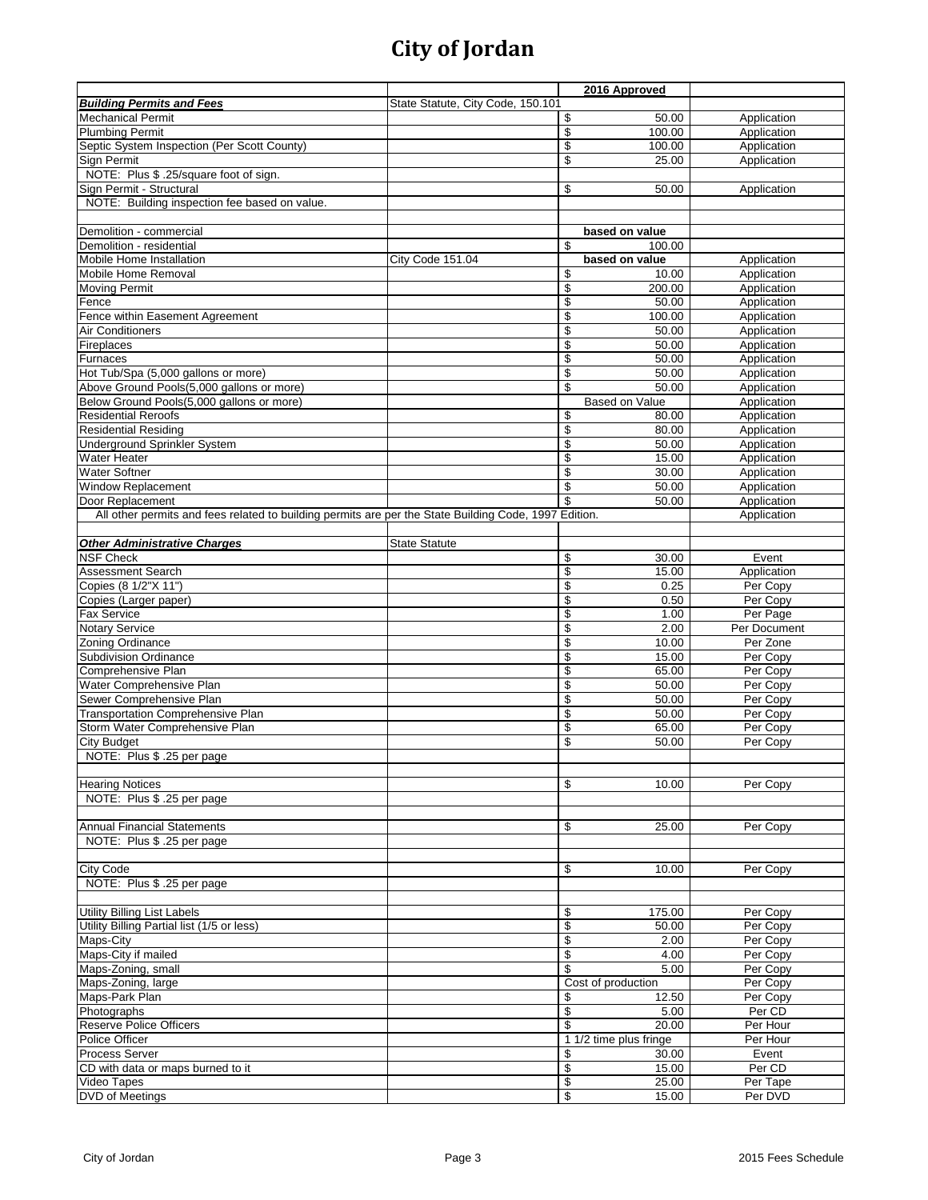|                                                                                                       |                                   |                          | 2016 Approved          |              |
|-------------------------------------------------------------------------------------------------------|-----------------------------------|--------------------------|------------------------|--------------|
| <b>Building Permits and Fees</b>                                                                      | State Statute, City Code, 150.101 |                          |                        |              |
| <b>Mechanical Permit</b>                                                                              |                                   | \$                       | 50.00                  | Application  |
| <b>Plumbing Permit</b>                                                                                |                                   | \$                       | 100.00                 | Application  |
| Septic System Inspection (Per Scott County)                                                           |                                   | \$                       | 100.00                 | Application  |
| Sign Permit                                                                                           |                                   | \$                       | 25.00                  | Application  |
| NOTE: Plus \$ .25/square foot of sign.                                                                |                                   |                          |                        |              |
| Sign Permit - Structural                                                                              |                                   | \$                       | 50.00                  | Application  |
| NOTE: Building inspection fee based on value.                                                         |                                   |                          |                        |              |
|                                                                                                       |                                   |                          |                        |              |
| Demolition - commercial                                                                               |                                   |                          | based on value         |              |
| Demolition - residential                                                                              |                                   | \$                       | 100.00                 |              |
| <b>Mobile Home Installation</b>                                                                       | City Code 151.04                  |                          | based on value         | Application  |
| Mobile Home Removal                                                                                   |                                   | \$                       | 10.00                  | Application  |
| <b>Moving Permit</b>                                                                                  |                                   | \$                       | 200.00                 | Application  |
| Fence                                                                                                 |                                   | \$                       | 50.00                  | Application  |
| Fence within Easement Agreement                                                                       |                                   | \$                       | 100.00                 | Application  |
| Air Conditioners                                                                                      |                                   | \$                       | 50.00                  | Application  |
| Fireplaces                                                                                            |                                   | \$                       | 50.00                  | Application  |
| <b>Furnaces</b>                                                                                       |                                   | \$                       | 50.00                  | Application  |
| Hot Tub/Spa (5,000 gallons or more)                                                                   |                                   | \$                       | 50.00                  | Application  |
| Above Ground Pools(5,000 gallons or more)                                                             |                                   | \$                       | 50.00                  | Application  |
| Below Ground Pools(5,000 gallons or more)                                                             |                                   |                          | <b>Based on Value</b>  | Application  |
| <b>Residential Reroofs</b>                                                                            |                                   | \$                       | 80.00                  | Application  |
| <b>Residential Residing</b>                                                                           |                                   | $\overline{\mathcal{S}}$ | 80.00                  | Application  |
| Underground Sprinkler System                                                                          |                                   | \$                       | 50.00                  | Application  |
| <b>Water Heater</b>                                                                                   |                                   | \$                       | 15.00                  | Application  |
| <b>Water Softner</b>                                                                                  |                                   | \$                       | 30.00                  | Application  |
| Window Replacement                                                                                    |                                   | \$                       | 50.00                  | Application  |
| Door Replacement                                                                                      |                                   | \$                       | 50.00                  | Application  |
| All other permits and fees related to building permits are per the State Building Code, 1997 Edition. |                                   |                          |                        | Application  |
|                                                                                                       |                                   |                          |                        |              |
| <b>Other Administrative Charges</b>                                                                   | <b>State Statute</b>              |                          |                        |              |
| <b>NSF Check</b>                                                                                      |                                   | \$                       | 30.00                  | Event        |
| Assessment Search                                                                                     |                                   | \$                       | 15.00                  | Application  |
| Copies (8 1/2"X 11")                                                                                  |                                   | \$                       | 0.25                   | Per Copy     |
| Copies (Larger paper)                                                                                 |                                   | \$                       | 0.50                   | Per Copy     |
| <b>Fax Service</b>                                                                                    |                                   | \$                       | 1.00                   | Per Page     |
| <b>Notary Service</b>                                                                                 |                                   | \$                       | 2.00                   | Per Document |
| Zoning Ordinance                                                                                      |                                   | \$                       | 10.00                  | Per Zone     |
| <b>Subdivision Ordinance</b>                                                                          |                                   | \$                       | 15.00                  | Per Copy     |
| Comprehensive Plan                                                                                    |                                   | \$                       | 65.00                  | Per Copy     |
| Water Comprehensive Plan                                                                              |                                   | \$                       | 50.00                  | Per Copy     |
| Sewer Comprehensive Plan                                                                              |                                   | \$                       | 50.00                  | Per Copy     |
| <b>Transportation Comprehensive Plan</b>                                                              |                                   | \$                       | 50.00                  | Per Copy     |
| Storm Water Comprehensive Plan                                                                        |                                   | \$                       | 65.00                  | Per Copy     |
| City Budget                                                                                           |                                   | \$                       | 50.00                  | Per Copy     |
| NOTE: Plus \$ .25 per page                                                                            |                                   |                          |                        |              |
|                                                                                                       |                                   |                          |                        |              |
| <b>Hearing Notices</b>                                                                                |                                   | \$                       | 10.00                  | Per Copy     |
| NOTE: Plus \$ .25 per page                                                                            |                                   |                          |                        |              |
|                                                                                                       |                                   |                          |                        |              |
| <b>Annual Financial Statements</b>                                                                    |                                   | \$                       | 25.00                  | Per Copy     |
| NOTE: Plus \$ .25 per page                                                                            |                                   |                          |                        |              |
|                                                                                                       |                                   |                          |                        |              |
| <b>City Code</b>                                                                                      |                                   | \$                       | 10.00                  | Per Copy     |
| NOTE: Plus \$ .25 per page                                                                            |                                   |                          |                        |              |
|                                                                                                       |                                   |                          |                        |              |
| <b>Utility Billing List Labels</b>                                                                    |                                   | \$                       | 175.00                 | Per Copy     |
| Utility Billing Partial list (1/5 or less)                                                            |                                   | \$                       | 50.00                  | Per Copy     |
| Maps-City                                                                                             |                                   | \$                       | 2.00                   | Per Copy     |
| Maps-City if mailed                                                                                   |                                   | \$                       | 4.00                   | Per Copy     |
| Maps-Zoning, small                                                                                    |                                   | \$                       | 5.00                   | Per Copy     |
| Maps-Zoning, large                                                                                    |                                   |                          | Cost of production     | Per Copy     |
| Maps-Park Plan                                                                                        |                                   | \$                       | 12.50                  | Per Copy     |
| Photographs                                                                                           |                                   | \$                       | 5.00                   | Per CD       |
| Reserve Police Officers                                                                               |                                   | \$                       | 20.00                  | Per Hour     |
| Police Officer                                                                                        |                                   |                          | 1 1/2 time plus fringe | Per Hour     |
| Process Server                                                                                        |                                   | \$                       | 30.00                  | Event        |
| CD with data or maps burned to it                                                                     |                                   | \$                       | 15.00                  | Per CD       |
| Video Tapes                                                                                           |                                   | \$                       | 25.00                  | Per Tape     |
| <b>DVD</b> of Meetings                                                                                |                                   | \$                       | 15.00                  | Per DVD      |